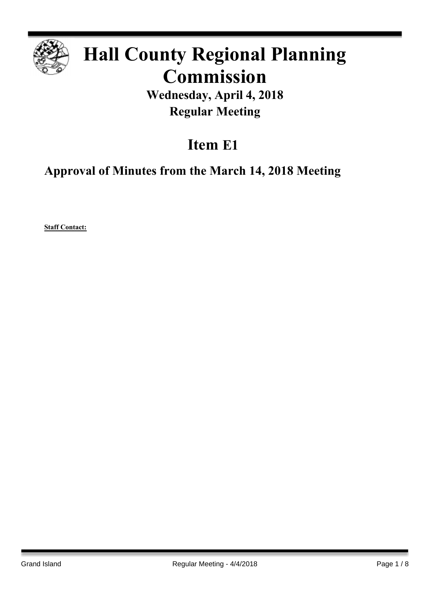

# **Hall County Regional Planning Commission**

**Wednesday, April 4, 2018 Regular Meeting**

# **Item E1**

**Approval of Minutes from the March 14, 2018 Meeting**

**Staff Contact:**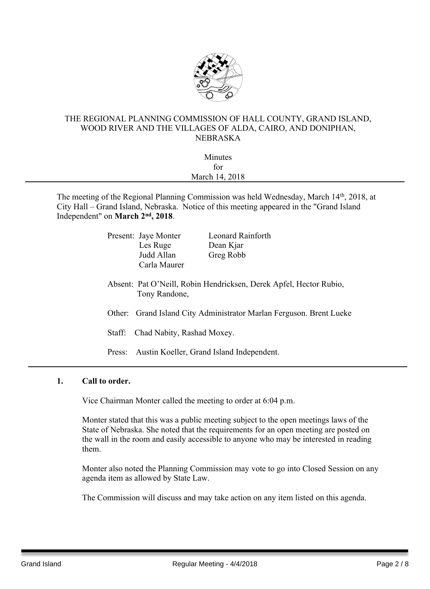

### THE REGIONAL PLANNING COMMISSION OF HALL COUNTY, GRAND ISLAND, WOOD RIVER AND THE VILLAGES OF ALDA, CAIRO, AND DONIPHAN, NEBRASKA

| Minutes        |  |
|----------------|--|
| for            |  |
| March 14, 2018 |  |
|                |  |

The meeting of the Regional Planning Commission was held Wednesday, March 14<sup>th</sup>, 2018, at City Hall – Grand Island, Nebraska. Notice of this meeting appeared in the "Grand Island Independent" on March 2<sup>nd</sup>, 2018.

|                                                                                     | Present: Jaye Monter | <b>Leonard Rainforth</b>                  |  |
|-------------------------------------------------------------------------------------|----------------------|-------------------------------------------|--|
|                                                                                     | Les Ruge             | Dean Kjar                                 |  |
|                                                                                     | Judd Allan           | Greg Robb                                 |  |
|                                                                                     | Carla Maurer         |                                           |  |
| Absent: Pat O'Neill, Robin Hendricksen, Derek Apfel, Hector Rubio,<br>Tony Randone, |                      |                                           |  |
| Other: Grand Island City Administrator Marlan Ferguson. Brent Lueke                 |                      |                                           |  |
| Chad Nabity, Rashad Moxey.<br>Staff:                                                |                      |                                           |  |
| Press:                                                                              |                      | Austin Koeller, Grand Island Independent. |  |
|                                                                                     |                      |                                           |  |

## **1. Call to order.**

Vice Chairman Monter called the meeting to order at 6:04 p.m.

Monter stated that this was a public meeting subject to the open meetings laws of the State of Nebraska. She noted that the requirements for an open meeting are posted on the wall in the room and easily accessible to anyone who may be interested in reading them.

Monter also noted the Planning Commission may vote to go into Closed Session on any agenda item as allowed by State Law.

The Commission will discuss and may take action on any item listed on this agenda.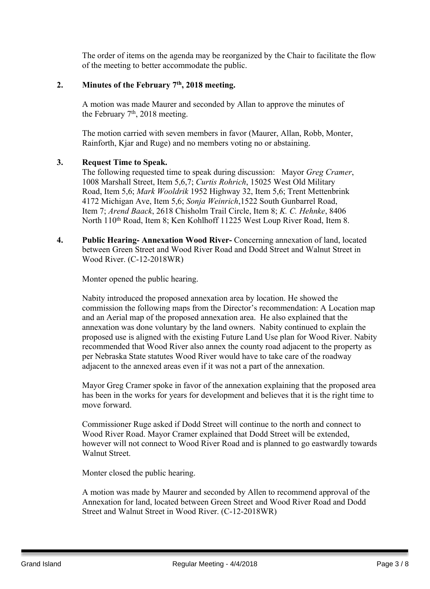The order of items on the agenda may be reorganized by the Chair to facilitate the flow of the meeting to better accommodate the public.

#### **2. Minutes of the February 7 th , 2018 meeting.**

A motion was made Maurer and seconded by Allan to approve the minutes of the February  $7<sup>th</sup>$ , 2018 meeting.

The motion carried with seven members in favor (Maurer, Allan, Robb, Monter, Rainforth, Kjar and Ruge) and no members voting no or abstaining.

#### **3. Request Time to Speak.**

The following requested time to speak during discussion: Mayor *Greg Cramer*, 1008 Marshall Street, Item 5,6,7; *Curtis Rohrich*, 15025 West Old Military Road, Item 5,6; *Mark Wooldrik* 1952 Highway 32, Item 5,6; Trent Mettenbrink 4172 Michigan Ave, Item 5,6; *Sonja Weinrich*,1522 South Gunbarrel Road, Item 7; *Arend Baack*, 2618 Chisholm Trail Circle, Item 8; *K. C. Hehnke*, 8406 North 110<sup>th</sup> Road, Item 8; Ken Kohlhoff 11225 West Loup River Road, Item 8.

**4. Public Hearing- Annexation Wood River-** Concerning annexation of land, located between Green Street and Wood River Road and Dodd Street and Walnut Street in Wood River. (C-12-2018WR)

Monter opened the public hearing.

Nabity introduced the proposed annexation area by location. He showed the commission the following maps from the Director's recommendation: A Location map and an Aerial map of the proposed annexation area. He also explained that the annexation was done voluntary by the land owners. Nabity continued to explain the proposed use is aligned with the existing Future Land Use plan for Wood River. Nabity recommended that Wood River also annex the county road adjacent to the property as per Nebraska State statutes Wood River would have to take care of the roadway adjacent to the annexed areas even if it was not a part of the annexation.

Mayor Greg Cramer spoke in favor of the annexation explaining that the proposed area has been in the works for years for development and believes that it is the right time to move forward.

Commissioner Ruge asked if Dodd Street will continue to the north and connect to Wood River Road. Mayor Cramer explained that Dodd Street will be extended, however will not connect to Wood River Road and is planned to go eastwardly towards Walnut Street.

Monter closed the public hearing.

A motion was made by Maurer and seconded by Allen to recommend approval of the Annexation for land, located between Green Street and Wood River Road and Dodd Street and Walnut Street in Wood River. (C-12-2018WR)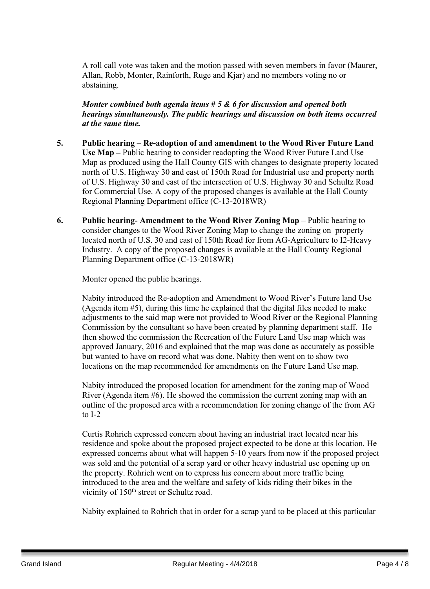A roll call vote was taken and the motion passed with seven members in favor (Maurer, Allan, Robb, Monter, Rainforth, Ruge and Kjar) and no members voting no or abstaining.

*Monter combined both agenda items # 5 & 6 for discussion and opened both hearings simultaneously. The public hearings and discussion on both items occurred at the same time.*

- **5. Public hearing – Re-adoption of and amendment to the Wood River Future Land Use Map –** Public hearing to consider readopting the Wood River Future Land Use Map as produced using the Hall County GIS with changes to designate property located north of U.S. Highway 30 and east of 150th Road for Industrial use and property north of U.S. Highway 30 and east of the intersection of U.S. Highway 30 and Schultz Road for Commercial Use. A copy of the proposed changes is available at the Hall County Regional Planning Department office (C-13-2018WR)
- **6. Public hearing- Amendment to the Wood River Zoning Map** Public hearing to consider changes to the Wood River Zoning Map to change the zoning on property located north of U.S. 30 and east of 150th Road for from AG-Agriculture to I2-Heavy Industry. A copy of the proposed changes is available at the Hall County Regional Planning Department office (C-13-2018WR)

Monter opened the public hearings.

Nabity introduced the Re-adoption and Amendment to Wood River's Future land Use (Agenda item #5), during this time he explained that the digital files needed to make adjustments to the said map were not provided to Wood River or the Regional Planning Commission by the consultant so have been created by planning department staff. He then showed the commission the Recreation of the Future Land Use map which was approved January, 2016 and explained that the map was done as accurately as possible but wanted to have on record what was done. Nabity then went on to show two locations on the map recommended for amendments on the Future Land Use map.

Nabity introduced the proposed location for amendment for the zoning map of Wood River (Agenda item #6). He showed the commission the current zoning map with an outline of the proposed area with a recommendation for zoning change of the from AG to  $I-2$ 

Curtis Rohrich expressed concern about having an industrial tract located near his residence and spoke about the proposed project expected to be done at this location. He expressed concerns about what will happen 5-10 years from now if the proposed project was sold and the potential of a scrap yard or other heavy industrial use opening up on the property. Rohrich went on to express his concern about more traffic being introduced to the area and the welfare and safety of kids riding their bikes in the vicinity of 150<sup>th</sup> street or Schultz road.

Nabity explained to Rohrich that in order for a scrap yard to be placed at this particular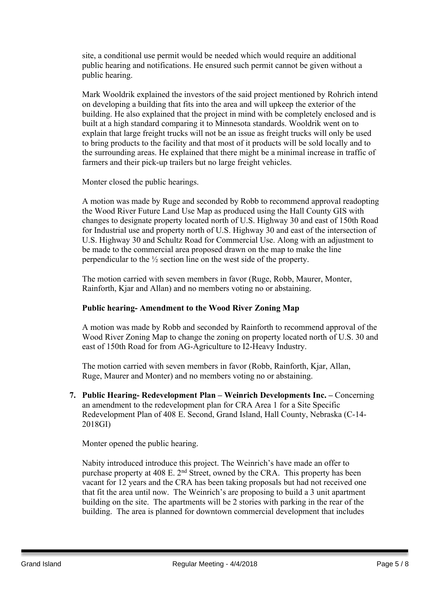site, a conditional use permit would be needed which would require an additional public hearing and notifications. He ensured such permit cannot be given without a public hearing.

Mark Wooldrik explained the investors of the said project mentioned by Rohrich intend on developing a building that fits into the area and will upkeep the exterior of the building. He also explained that the project in mind with be completely enclosed and is built at a high standard comparing it to Minnesota standards. Wooldrik went on to explain that large freight trucks will not be an issue as freight trucks will only be used to bring products to the facility and that most of it products will be sold locally and to the surrounding areas. He explained that there might be a minimal increase in traffic of farmers and their pick-up trailers but no large freight vehicles.

Monter closed the public hearings.

A motion was made by Ruge and seconded by Robb to recommend approval readopting the Wood River Future Land Use Map as produced using the Hall County GIS with changes to designate property located north of U.S. Highway 30 and east of 150th Road for Industrial use and property north of U.S. Highway 30 and east of the intersection of U.S. Highway 30 and Schultz Road for Commercial Use. Along with an adjustment to be made to the commercial area proposed drawn on the map to make the line perpendicular to the ½ section line on the west side of the property.

The motion carried with seven members in favor (Ruge, Robb, Maurer, Monter, Rainforth, Kjar and Allan) and no members voting no or abstaining.

## **Public hearing- Amendment to the Wood River Zoning Map**

A motion was made by Robb and seconded by Rainforth to recommend approval of the Wood River Zoning Map to change the zoning on property located north of U.S. 30 and east of 150th Road for from AG-Agriculture to I2-Heavy Industry.

The motion carried with seven members in favor (Robb, Rainforth, Kjar, Allan, Ruge, Maurer and Monter) and no members voting no or abstaining.

**7. Public Hearing- Redevelopment Plan – Weinrich Developments Inc. –** Concerning an amendment to the redevelopment plan for CRA Area 1 for a Site Specific Redevelopment Plan of 408 E. Second, Grand Island, Hall County, Nebraska (C-14- 2018GI)

Monter opened the public hearing.

Nabity introduced introduce this project. The Weinrich's have made an offer to purchase property at 408 E. 2<sup>nd</sup> Street, owned by the CRA. This property has been vacant for 12 years and the CRA has been taking proposals but had not received one that fit the area until now. The Weinrich's are proposing to build a 3 unit apartment building on the site. The apartments will be 2 stories with parking in the rear of the building. The area is planned for downtown commercial development that includes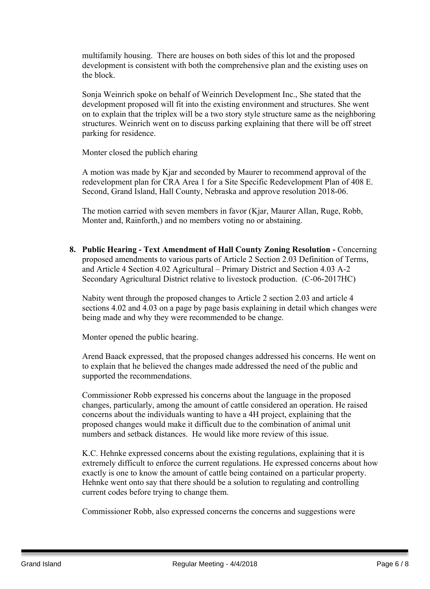multifamily housing. There are houses on both sides of this lot and the proposed development is consistent with both the comprehensive plan and the existing uses on the block.

Sonja Weinrich spoke on behalf of Weinrich Development Inc., She stated that the development proposed will fit into the existing environment and structures. She went on to explain that the triplex will be a two story style structure same as the neighboring structures. Weinrich went on to discuss parking explaining that there will be off street parking for residence.

Monter closed the publich eharing

A motion was made by Kjar and seconded by Maurer to recommend approval of the redevelopment plan for CRA Area 1 for a Site Specific Redevelopment Plan of 408 E. Second, Grand Island, Hall County, Nebraska and approve resolution 2018-06.

The motion carried with seven members in favor (Kjar, Maurer Allan, Ruge, Robb, Monter and, Rainforth,) and no members voting no or abstaining.

**8. Public Hearing - Text Amendment of Hall County Zoning Resolution -** Concerning proposed amendments to various parts of Article 2 Section 2.03 Definition of Terms, and Article 4 Section 4.02 Agricultural – Primary District and Section 4.03 A-2 Secondary Agricultural District relative to livestock production. (C-06-2017HC)

Nabity went through the proposed changes to Article 2 section 2.03 and article 4 sections 4.02 and 4.03 on a page by page basis explaining in detail which changes were being made and why they were recommended to be change.

Monter opened the public hearing.

Arend Baack expressed, that the proposed changes addressed his concerns. He went on to explain that he believed the changes made addressed the need of the public and supported the recommendations.

Commissioner Robb expressed his concerns about the language in the proposed changes, particularly, among the amount of cattle considered an operation. He raised concerns about the individuals wanting to have a 4H project, explaining that the proposed changes would make it difficult due to the combination of animal unit numbers and setback distances. He would like more review of this issue.

K.C. Hehnke expressed concerns about the existing regulations, explaining that it is extremely difficult to enforce the current regulations. He expressed concerns about how exactly is one to know the amount of cattle being contained on a particular property. Hehnke went onto say that there should be a solution to regulating and controlling current codes before trying to change them.

Commissioner Robb, also expressed concerns the concerns and suggestions were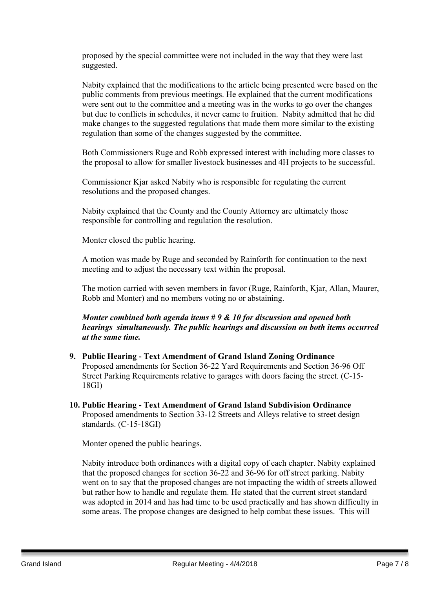proposed by the special committee were not included in the way that they were last suggested.

Nabity explained that the modifications to the article being presented were based on the public comments from previous meetings. He explained that the current modifications were sent out to the committee and a meeting was in the works to go over the changes but due to conflicts in schedules, it never came to fruition. Nabity admitted that he did make changes to the suggested regulations that made them more similar to the existing regulation than some of the changes suggested by the committee.

Both Commissioners Ruge and Robb expressed interest with including more classes to the proposal to allow for smaller livestock businesses and 4H projects to be successful.

Commissioner Kjar asked Nabity who is responsible for regulating the current resolutions and the proposed changes.

Nabity explained that the County and the County Attorney are ultimately those responsible for controlling and regulation the resolution.

Monter closed the public hearing.

A motion was made by Ruge and seconded by Rainforth for continuation to the next meeting and to adjust the necessary text within the proposal.

The motion carried with seven members in favor (Ruge, Rainforth, Kjar, Allan, Maurer, Robb and Monter) and no members voting no or abstaining.

*Monter combined both agenda items # 9 & 10 for discussion and opened both hearings simultaneously. The public hearings and discussion on both items occurred at the same time.*

- **9. Public Hearing - Text Amendment of Grand Island Zoning Ordinance** Proposed amendments for Section 36-22 Yard Requirements and Section 36-96 Off Street Parking Requirements relative to garages with doors facing the street. (C-15- 18GI)
- **10. Public Hearing - Text Amendment of Grand Island Subdivision Ordinance** Proposed amendments to Section 33-12 Streets and Alleys relative to street design standards. (C-15-18GI)

Monter opened the public hearings.

Nabity introduce both ordinances with a digital copy of each chapter. Nabity explained that the proposed changes for section 36-22 and 36-96 for off street parking. Nabity went on to say that the proposed changes are not impacting the width of streets allowed but rather how to handle and regulate them. He stated that the current street standard was adopted in 2014 and has had time to be used practically and has shown difficulty in some areas. The propose changes are designed to help combat these issues. This will